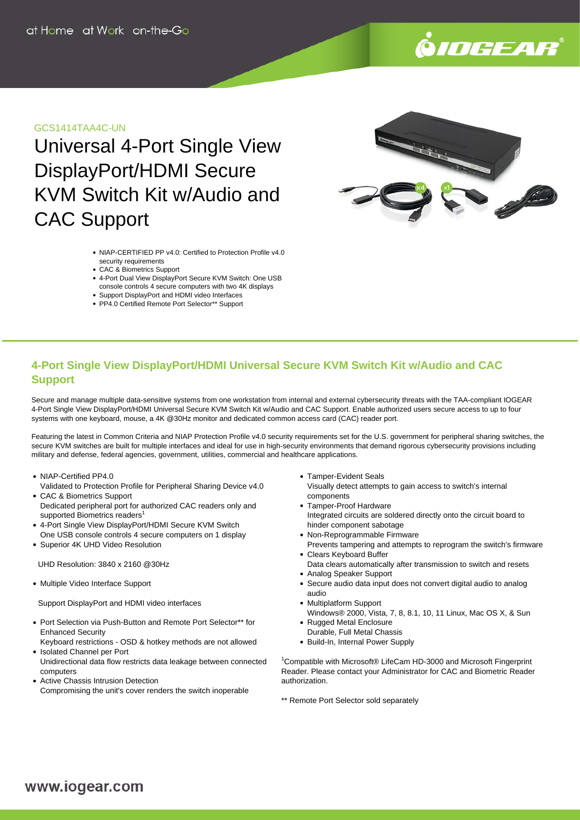

## GCS1414TAA4C-UN

Universal 4-Port Single View DisplayPort/HDMI Secure KVM Switch Kit w/Audio and CAC Support

- NIAP-CERTIFIED PP v4.0: Certified to Protection Profile v4.0 security requirements
- CAC & Biometrics Support
- 4-Port Dual View DisplayPort Secure KVM Switch: One USB console controls 4 secure computers with two 4K displays
- Support DisplayPort and HDMI video Interfaces
- PP4.0 Certified Remote Port Selector\*\* Support

# **4-Port Single View DisplayPort/HDMI Universal Secure KVM Switch Kit w/Audio and CAC Support**

Secure and manage multiple data-sensitive systems from one workstation from internal and external cybersecurity threats with the TAA-compliant IOGEAR 4-Port Single View DisplayPort/HDMI Universal Secure KVM Switch Kit w/Audio and CAC Support. Enable authorized users secure access to up to four systems with one keyboard, mouse, a 4K @30Hz monitor and dedicated common access card (CAC) reader port.

Featuring the latest in Common Criteria and NIAP Protection Profile v4.0 security requirements set for the U.S. government for peripheral sharing switches, the secure KVM switches are built for multiple interfaces and ideal for use in high-security environments that demand rigorous cybersecurity provisions including military and defense, federal agencies, government, utilities, commercial and healthcare applications.

- NIAP-Certified PP4.0
- Validated to Protection Profile for Peripheral Sharing Device v4.0 CAC & Biometrics Support
- Dedicated peripheral port for authorized CAC readers only and supported Biometrics readers<sup>1</sup>
- 4-Port Single View DisplayPort/HDMI Secure KVM Switch
- One USB console controls 4 secure computers on 1 display Superior 4K UHD Video Resolution

UHD Resolution: 3840 x 2160 @30Hz

• Multiple Video Interface Support

Support DisplayPort and HDMI video interfaces

• Port Selection via Push-Button and Remote Port Selector\*\* for Enhanced Security

Keyboard restrictions - OSD & hotkey methods are not allowed • Isolated Channel per Port

- Unidirectional data flow restricts data leakage between connected computers
- Active Chassis Intrusion Detection Compromising the unit's cover renders the switch inoperable

Tamper-Evident Seals

Visually detect attempts to gain access to switch's internal components

- Tamper-Proof Hardware Integrated circuits are soldered directly onto the circuit board to hinder component sabotage
- Non-Reprogrammable Firmware
- Prevents tampering and attempts to reprogram the switch's firmware Clears Keyboard Buffer
- Data clears automatically after transmission to switch and resets Analog Speaker Support
- Secure audio data input does not convert digital audio to analog audio
- Multiplatform Support Windows® 2000, Vista, 7, 8, 8.1, 10, 11 Linux, Mac OS X, & Sun
- Rugged Metal Enclosure
- Durable, Full Metal Chassis
- Build-In, Internal Power Supply

<sup>1</sup>Compatible with Microsoft® LifeCam HD-3000 and Microsoft Fingerprint Reader. Please contact your Administrator for CAC and Biometric Reader authorization.

\*\* Remote Port Selector sold separately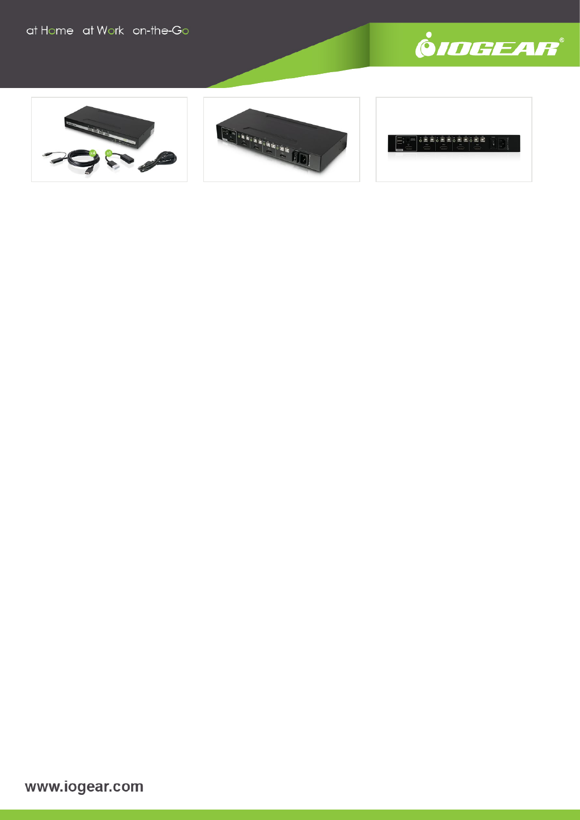







www.iogear.com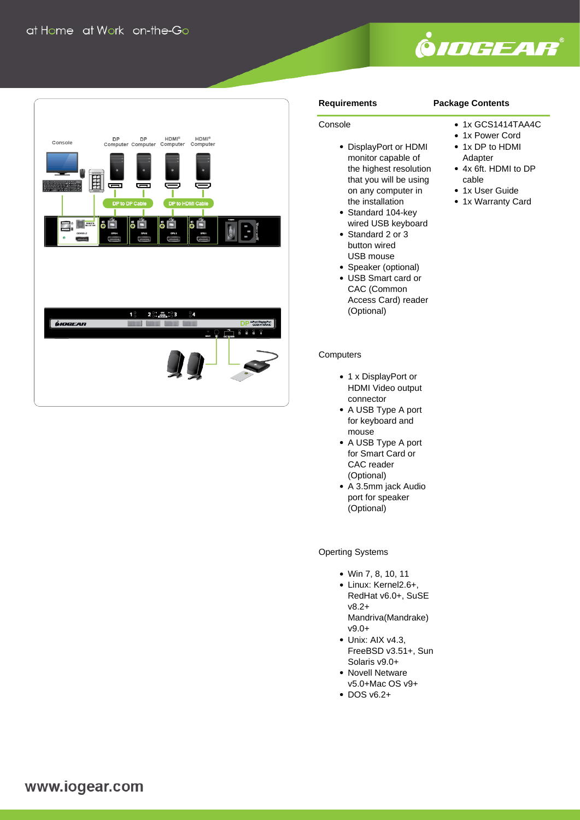

1x GCS1414TAA4C • 1x Power Cord • 1x DP to HDMI Adapter

4x 6ft. HDMI to DP



### **Requirements**

Console

## **Package Contents**

cable • 1x User Guide • 1x Warranty Card

- DisplayPort or HDMI monitor capable of the highest resolution that you will be using on any computer in the installation
- Standard 104-key wired USB keyboard
- Standard 2 or 3 button wired USB mouse
- Speaker (optional)
- USB Smart card or CAC (Common Access Card) reader (Optional)

### **Computers**

- 1 x DisplayPort or HDMI Video output connector
- A USB Type A port for keyboard and mouse
- A USB Type A port for Smart Card or CAC reader (Optional)
- A 3.5mm jack Audio port for speaker (Optional)

## Operting Systems

- Win 7, 8, 10, 11
- Linux: Kernel2.6+. RedHat v6.0+, SuSE v8.2+ Mandriva(Mandrake) v9.0+
- Unix: AIX v4.3. FreeBSD v3.51+, Sun Solaris v9.0+
- Novell Netware v5.0+Mac OS v9+
- $\cdot$  DOS v6.2+